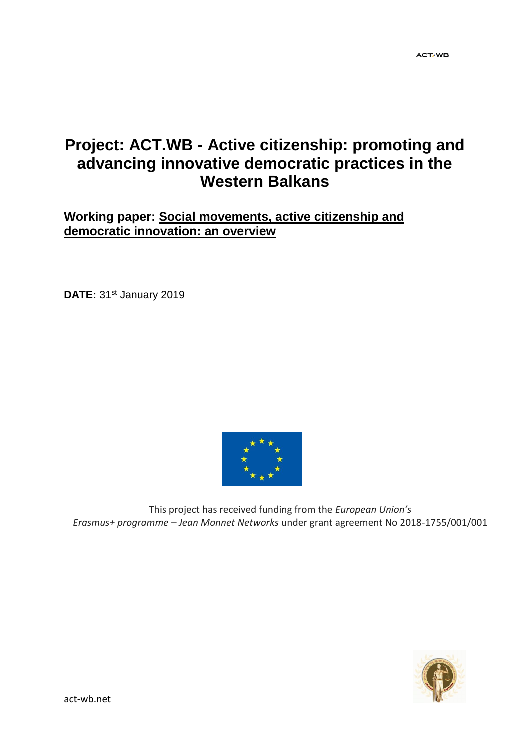# **Project: ACT.WB - Active citizenship: promoting and advancing innovative democratic practices in the Western Balkans**

## **Working paper: Social movements, active citizenship and democratic innovation: an overview**

**DATE:** 31<sup>st</sup> January 2019



This project has received funding from the *European Union's Erasmus+ programme – Jean Monnet Networks* under grant agreement No 2018-1755/001/001

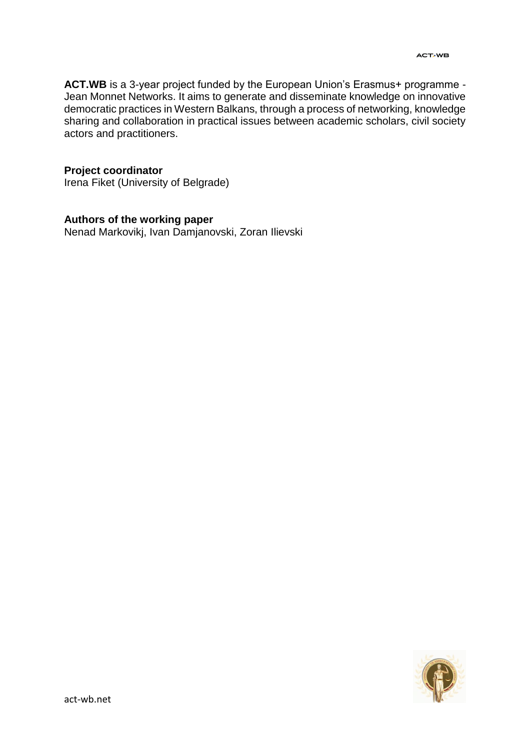**ACT.WB** is a 3-year project funded by the European Union's Erasmus+ programme - Jean Monnet Networks. It aims to generate and disseminate knowledge on innovative democratic practices in Western Balkans, through a process of networking, knowledge sharing and collaboration in practical issues between academic scholars, civil society actors and practitioners.

#### **Project coordinator**

Irena Fiket (University of Belgrade)

#### **Authors of the working paper**

Nenad Markovikj, Ivan Damjanovski, Zoran Ilievski

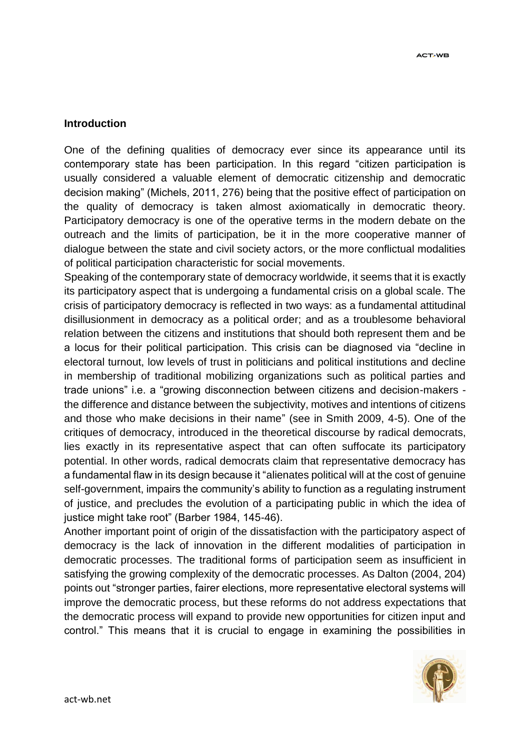#### **Introduction**

One of the defining qualities of democracy ever since its appearance until its contemporary state has been participation. In this regard "citizen participation is usually considered a valuable element of democratic citizenship and democratic decision making" (Michels, 2011, 276) being that the positive effect of participation on the quality of democracy is taken almost axiomatically in democratic theory. Participatory democracy is one of the operative terms in the modern debate on the outreach and the limits of participation, be it in the more cooperative manner of dialogue between the state and civil society actors, or the more conflictual modalities of political participation characteristic for social movements.

Speaking of the contemporary state of democracy worldwide, it seems that it is exactly its participatory aspect that is undergoing a fundamental crisis on a global scale. The crisis of participatory democracy is reflected in two ways: as a fundamental attitudinal disillusionment in democracy as a political order; and as a troublesome behavioral relation between the citizens and institutions that should both represent them and be a locus for their political participation. This crisis can be diagnosed via "decline in electoral turnout, low levels of trust in politicians and political institutions and decline in membership of traditional mobilizing organizations such as political parties and trade unions" i.e. a "growing disconnection between citizens and decision-makers the difference and distance between the subjectivity, motives and intentions of citizens and those who make decisions in their name" (see in Smith 2009, 4-5). One of the critiques of democracy, introduced in the theoretical discourse by radical democrats, lies exactly in its representative aspect that can often suffocate its participatory potential. In other words, radical democrats claim that representative democracy has a fundamental flaw in its design because it "alienates political will at the cost of genuine self-government, impairs the community's ability to function as a regulating instrument of justice, and precludes the evolution of a participating public in which the idea of justice might take root" (Barber 1984, 145-46).

Another important point of origin of the dissatisfaction with the participatory aspect of democracy is the lack of innovation in the different modalities of participation in democratic processes. The traditional forms of participation seem as insufficient in satisfying the growing complexity of the democratic processes. As Dalton (2004, 204) points out "stronger parties, fairer elections, more representative electoral systems will improve the democratic process, but these reforms do not address expectations that the democratic process will expand to provide new opportunities for citizen input and control." This means that it is crucial to engage in examining the possibilities in

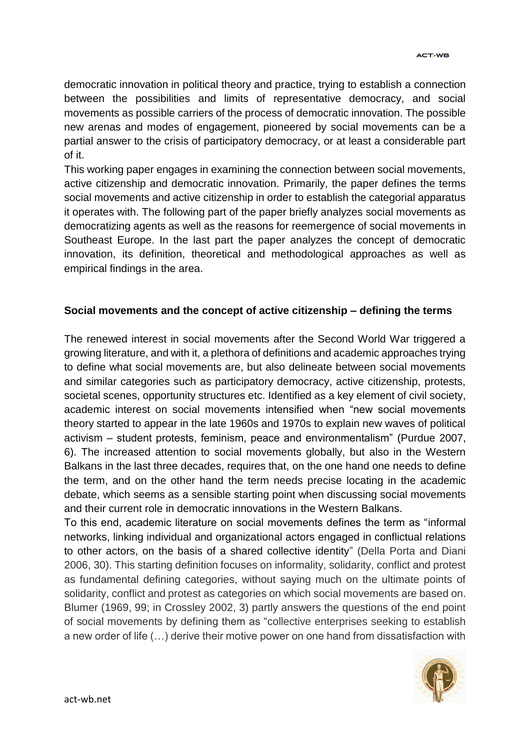democratic innovation in political theory and practice, trying to establish a connection between the possibilities and limits of representative democracy, and social movements as possible carriers of the process of democratic innovation. The possible new arenas and modes of engagement, pioneered by social movements can be a partial answer to the crisis of participatory democracy, or at least a considerable part of it.

This working paper engages in examining the connection between social movements, active citizenship and democratic innovation. Primarily, the paper defines the terms social movements and active citizenship in order to establish the categorial apparatus it operates with. The following part of the paper briefly analyzes social movements as democratizing agents as well as the reasons for reemergence of social movements in Southeast Europe. In the last part the paper analyzes the concept of democratic innovation, its definition, theoretical and methodological approaches as well as empirical findings in the area.

### **Social movements and the concept of active citizenship – defining the terms**

The renewed interest in social movements after the Second World War triggered a growing literature, and with it, a plethora of definitions and academic approaches trying to define what social movements are, but also delineate between social movements and similar categories such as participatory democracy, active citizenship, protests, societal scenes, opportunity structures etc. Identified as a key element of civil society, academic interest on social movements intensified when "new social movements theory started to appear in the late 1960s and 1970s to explain new waves of political activism – student protests, feminism, peace and environmentalism" (Purdue 2007, 6). The increased attention to social movements globally, but also in the Western Balkans in the last three decades, requires that, on the one hand one needs to define the term, and on the other hand the term needs precise locating in the academic debate, which seems as a sensible starting point when discussing social movements and their current role in democratic innovations in the Western Balkans.

To this end, academic literature on social movements defines the term as "informal networks, linking individual and organizational actors engaged in conflictual relations to other actors, on the basis of a shared collective identity" (Della Porta and Diani 2006, 30). This starting definition focuses on informality, solidarity, conflict and protest as fundamental defining categories, without saying much on the ultimate points of solidarity, conflict and protest as categories on which social movements are based on. Blumer (1969, 99; in Crossley 2002, 3) partly answers the questions of the end point of social movements by defining them as "collective enterprises seeking to establish a new order of life (…) derive their motive power on one hand from dissatisfaction with

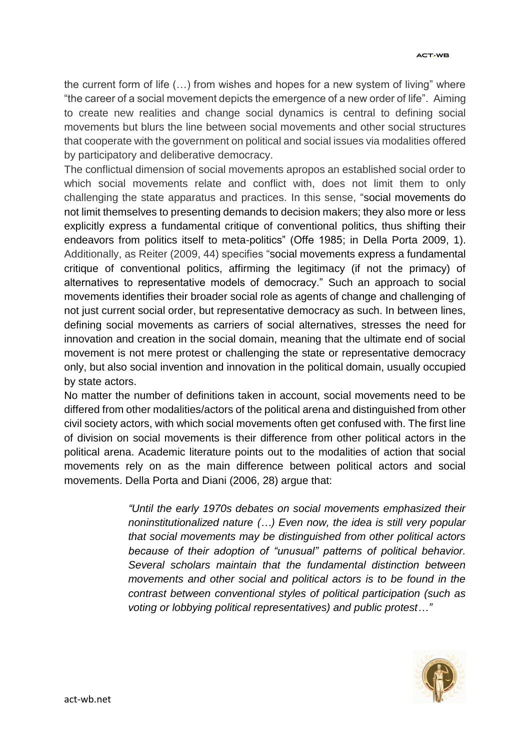the current form of life (…) from wishes and hopes for a new system of living" where "the career of a social movement depicts the emergence of a new order of life". Aiming to create new realities and change social dynamics is central to defining social movements but blurs the line between social movements and other social structures that cooperate with the government on political and social issues via modalities offered by participatory and deliberative democracy.

The conflictual dimension of social movements apropos an established social order to which social movements relate and conflict with, does not limit them to only challenging the state apparatus and practices. In this sense, "social movements do not limit themselves to presenting demands to decision makers; they also more or less explicitly express a fundamental critique of conventional politics, thus shifting their endeavors from politics itself to meta-politics" (Offe 1985; in Della Porta 2009, 1). Additionally, as Reiter (2009, 44) specifies "social movements express a fundamental critique of conventional politics, affirming the legitimacy (if not the primacy) of alternatives to representative models of democracy." Such an approach to social movements identifies their broader social role as agents of change and challenging of not just current social order, but representative democracy as such. In between lines, defining social movements as carriers of social alternatives, stresses the need for innovation and creation in the social domain, meaning that the ultimate end of social movement is not mere protest or challenging the state or representative democracy only, but also social invention and innovation in the political domain, usually occupied by state actors.

No matter the number of definitions taken in account, social movements need to be differed from other modalities/actors of the political arena and distinguished from other civil society actors, with which social movements often get confused with. The first line of division on social movements is their difference from other political actors in the political arena. Academic literature points out to the modalities of action that social movements rely on as the main difference between political actors and social movements. Della Porta and Diani (2006, 28) argue that:

> *"Until the early 1970s debates on social movements emphasized their noninstitutionalized nature (…) Even now, the idea is still very popular that social movements may be distinguished from other political actors because of their adoption of "unusual" patterns of political behavior. Several scholars maintain that the fundamental distinction between movements and other social and political actors is to be found in the contrast between conventional styles of political participation (such as voting or lobbying political representatives) and public protest…"*

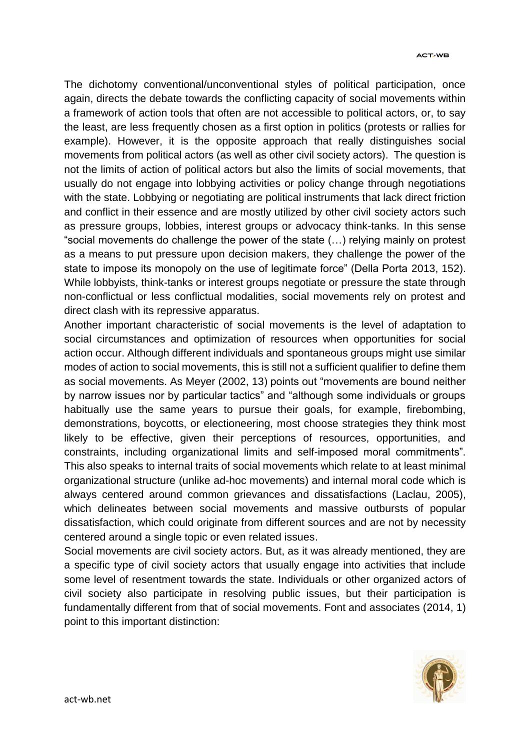The dichotomy conventional/unconventional styles of political participation, once again, directs the debate towards the conflicting capacity of social movements within a framework of action tools that often are not accessible to political actors, or, to say the least, are less frequently chosen as a first option in politics (protests or rallies for example). However, it is the opposite approach that really distinguishes social movements from political actors (as well as other civil society actors). The question is not the limits of action of political actors but also the limits of social movements, that usually do not engage into lobbying activities or policy change through negotiations with the state. Lobbying or negotiating are political instruments that lack direct friction and conflict in their essence and are mostly utilized by other civil society actors such as pressure groups, lobbies, interest groups or advocacy think-tanks. In this sense "social movements do challenge the power of the state (…) relying mainly on protest as a means to put pressure upon decision makers, they challenge the power of the state to impose its monopoly on the use of legitimate force" (Della Porta 2013, 152). While lobbyists, think-tanks or interest groups negotiate or pressure the state through non-conflictual or less conflictual modalities, social movements rely on protest and direct clash with its repressive apparatus.

Another important characteristic of social movements is the level of adaptation to social circumstances and optimization of resources when opportunities for social action occur. Although different individuals and spontaneous groups might use similar modes of action to social movements, this is still not a sufficient qualifier to define them as social movements. As Meyer (2002, 13) points out "movements are bound neither by narrow issues nor by particular tactics" and "although some individuals or groups habitually use the same years to pursue their goals, for example, firebombing, demonstrations, boycotts, or electioneering, most choose strategies they think most likely to be effective, given their perceptions of resources, opportunities, and constraints, including organizational limits and self-imposed moral commitments". This also speaks to internal traits of social movements which relate to at least minimal organizational structure (unlike ad-hoc movements) and internal moral code which is always centered around common grievances and dissatisfactions (Laclau, 2005), which delineates between social movements and massive outbursts of popular dissatisfaction, which could originate from different sources and are not by necessity centered around a single topic or even related issues.

Social movements are civil society actors. But, as it was already mentioned, they are a specific type of civil society actors that usually engage into activities that include some level of resentment towards the state. Individuals or other organized actors of civil society also participate in resolving public issues, but their participation is fundamentally different from that of social movements. Font and associates (2014, 1) point to this important distinction:

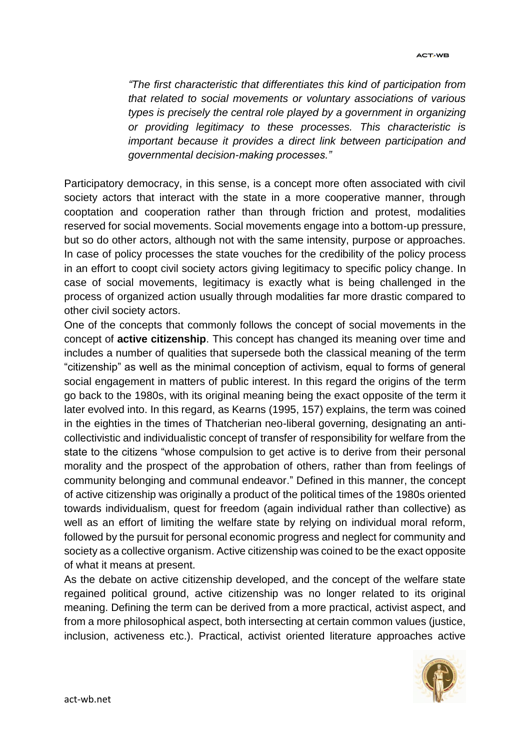*"The first characteristic that differentiates this kind of participation from that related to social movements or voluntary associations of various types is precisely the central role played by a government in organizing or providing legitimacy to these processes. This characteristic is important because it provides a direct link between participation and governmental decision-making processes."*

Participatory democracy, in this sense, is a concept more often associated with civil society actors that interact with the state in a more cooperative manner, through cooptation and cooperation rather than through friction and protest, modalities reserved for social movements. Social movements engage into a bottom-up pressure, but so do other actors, although not with the same intensity, purpose or approaches. In case of policy processes the state vouches for the credibility of the policy process in an effort to coopt civil society actors giving legitimacy to specific policy change. In case of social movements, legitimacy is exactly what is being challenged in the process of organized action usually through modalities far more drastic compared to other civil society actors.

One of the concepts that commonly follows the concept of social movements in the concept of **active citizenship**. This concept has changed its meaning over time and includes a number of qualities that supersede both the classical meaning of the term "citizenship" as well as the minimal conception of activism, equal to forms of general social engagement in matters of public interest. In this regard the origins of the term go back to the 1980s, with its original meaning being the exact opposite of the term it later evolved into. In this regard, as Kearns (1995, 157) explains, the term was coined in the eighties in the times of Thatcherian neo-liberal governing, designating an anticollectivistic and individualistic concept of transfer of responsibility for welfare from the state to the citizens "whose compulsion to get active is to derive from their personal morality and the prospect of the approbation of others, rather than from feelings of community belonging and communal endeavor." Defined in this manner, the concept of active citizenship was originally a product of the political times of the 1980s oriented towards individualism, quest for freedom (again individual rather than collective) as well as an effort of limiting the welfare state by relying on individual moral reform, followed by the pursuit for personal economic progress and neglect for community and society as a collective organism. Active citizenship was coined to be the exact opposite of what it means at present.

As the debate on active citizenship developed, and the concept of the welfare state regained political ground, active citizenship was no longer related to its original meaning. Defining the term can be derived from a more practical, activist aspect, and from a more philosophical aspect, both intersecting at certain common values (justice, inclusion, activeness etc.). Practical, activist oriented literature approaches active

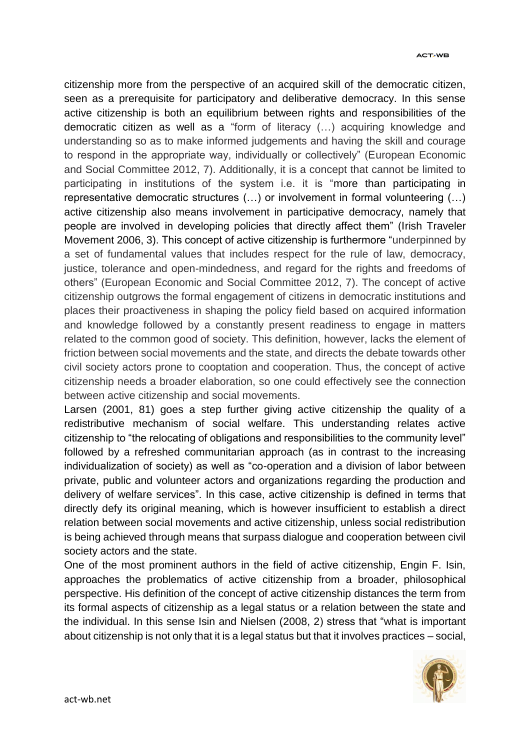citizenship more from the perspective of an acquired skill of the democratic citizen, seen as a prerequisite for participatory and deliberative democracy. In this sense active citizenship is both an equilibrium between rights and responsibilities of the democratic citizen as well as a "form of literacy (…) acquiring knowledge and understanding so as to make informed judgements and having the skill and courage to respond in the appropriate way, individually or collectively" (European Economic and Social Committee 2012, 7). Additionally, it is a concept that cannot be limited to participating in institutions of the system i.e. it is "more than participating in representative democratic structures (…) or involvement in formal volunteering (…) active citizenship also means involvement in participative democracy, namely that people are involved in developing policies that directly affect them" (Irish Traveler Movement 2006, 3). This concept of active citizenship is furthermore "underpinned by a set of fundamental values that includes respect for the rule of law, democracy, justice, tolerance and open-mindedness, and regard for the rights and freedoms of others" (European Economic and Social Committee 2012, 7). The concept of active citizenship outgrows the formal engagement of citizens in democratic institutions and places their proactiveness in shaping the policy field based on acquired information and knowledge followed by a constantly present readiness to engage in matters related to the common good of society. This definition, however, lacks the element of friction between social movements and the state, and directs the debate towards other civil society actors prone to cooptation and cooperation. Thus, the concept of active citizenship needs a broader elaboration, so one could effectively see the connection between active citizenship and social movements.

Larsen (2001, 81) goes a step further giving active citizenship the quality of a redistributive mechanism of social welfare. This understanding relates active citizenship to "the relocating of obligations and responsibilities to the community level" followed by a refreshed communitarian approach (as in contrast to the increasing individualization of society) as well as "co-operation and a division of labor between private, public and volunteer actors and organizations regarding the production and delivery of welfare services". In this case, active citizenship is defined in terms that directly defy its original meaning, which is however insufficient to establish a direct relation between social movements and active citizenship, unless social redistribution is being achieved through means that surpass dialogue and cooperation between civil society actors and the state.

One of the most prominent authors in the field of active citizenship, Engin F. Isin, approaches the problematics of active citizenship from a broader, philosophical perspective. His definition of the concept of active citizenship distances the term from its formal aspects of citizenship as a legal status or a relation between the state and the individual. In this sense Isin and Nielsen (2008, 2) stress that "what is important about citizenship is not only that it is a legal status but that it involves practices – social,

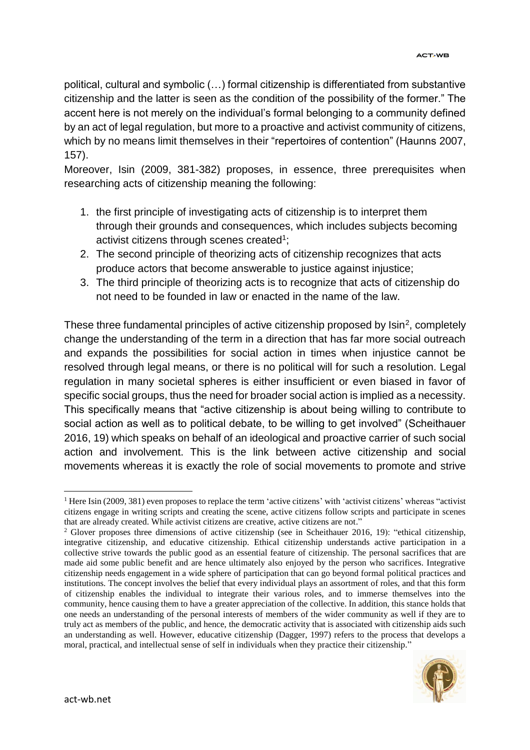political, cultural and symbolic (…) formal citizenship is differentiated from substantive citizenship and the latter is seen as the condition of the possibility of the former." The accent here is not merely on the individual's formal belonging to a community defined by an act of legal regulation, but more to a proactive and activist community of citizens, which by no means limit themselves in their "repertoires of contention" (Haunns 2007, 157).

Moreover, Isin (2009, 381-382) proposes, in essence, three prerequisites when researching acts of citizenship meaning the following:

- 1. the first principle of investigating acts of citizenship is to interpret them through their grounds and consequences, which includes subjects becoming activist citizens through scenes created<sup>1</sup>;
- 2. The second principle of theorizing acts of citizenship recognizes that acts produce actors that become answerable to justice against injustice;
- 3. The third principle of theorizing acts is to recognize that acts of citizenship do not need to be founded in law or enacted in the name of the law.

These three fundamental principles of active citizenship proposed by  $\textsf{Isin}^2$ , completely change the understanding of the term in a direction that has far more social outreach and expands the possibilities for social action in times when injustice cannot be resolved through legal means, or there is no political will for such a resolution. Legal regulation in many societal spheres is either insufficient or even biased in favor of specific social groups, thus the need for broader social action is implied as a necessity. This specifically means that "active citizenship is about being willing to contribute to social action as well as to political debate, to be willing to get involved" (Scheithauer 2016, 19) which speaks on behalf of an ideological and proactive carrier of such social action and involvement. This is the link between active citizenship and social movements whereas it is exactly the role of social movements to promote and strive

<sup>2</sup> Glover proposes three dimensions of active citizenship (see in Scheithauer 2016, 19): "ethical citizenship, integrative citizenship, and educative citizenship. Ethical citizenship understands active participation in a collective strive towards the public good as an essential feature of citizenship. The personal sacrifices that are made aid some public benefit and are hence ultimately also enjoyed by the person who sacrifices. Integrative citizenship needs engagement in a wide sphere of participation that can go beyond formal political practices and institutions. The concept involves the belief that every individual plays an assortment of roles, and that this form of citizenship enables the individual to integrate their various roles, and to immerse themselves into the community, hence causing them to have a greater appreciation of the collective. In addition, this stance holds that one needs an understanding of the personal interests of members of the wider community as well if they are to truly act as members of the public, and hence, the democratic activity that is associated with citizenship aids such an understanding as well. However, educative citizenship (Dagger, 1997) refers to the process that develops a moral, practical, and intellectual sense of self in individuals when they practice their citizenship."



 $\overline{a}$ <sup>1</sup> Here Isin (2009, 381) even proposes to replace the term 'active citizens' with 'activist citizens' whereas "activist citizens engage in writing scripts and creating the scene, active citizens follow scripts and participate in scenes that are already created. While activist citizens are creative, active citizens are not."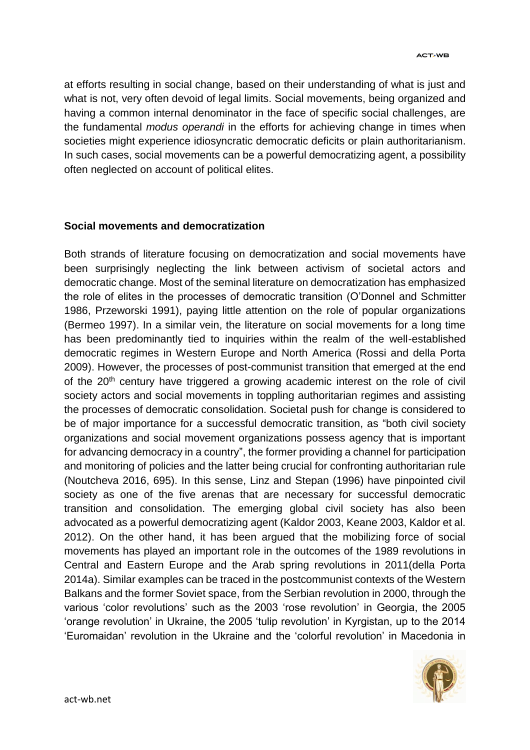at efforts resulting in social change, based on their understanding of what is just and what is not, very often devoid of legal limits. Social movements, being organized and having a common internal denominator in the face of specific social challenges, are the fundamental *modus operandi* in the efforts for achieving change in times when societies might experience idiosyncratic democratic deficits or plain authoritarianism. In such cases, social movements can be a powerful democratizing agent, a possibility often neglected on account of political elites.

#### **Social movements and democratization**

Both strands of literature focusing on democratization and social movements have been surprisingly neglecting the link between activism of societal actors and democratic change. Most of the seminal literature on democratization has emphasized the role of elites in the processes of democratic transition (O'Donnel and Schmitter 1986, Przeworski 1991), paying little attention on the role of popular organizations (Bermeo 1997). In a similar vein, the literature on social movements for a long time has been predominantly tied to inquiries within the realm of the well-established democratic regimes in Western Europe and North America (Rossi and della Porta 2009). However, the processes of post-communist transition that emerged at the end of the 20<sup>th</sup> century have triggered a growing academic interest on the role of civil society actors and social movements in toppling authoritarian regimes and assisting the processes of democratic consolidation. Societal push for change is considered to be of major importance for a successful democratic transition, as "both civil society organizations and social movement organizations possess agency that is important for advancing democracy in a country", the former providing a channel for participation and monitoring of policies and the latter being crucial for confronting authoritarian rule (Noutcheva 2016, 695). In this sense, Linz and Stepan (1996) have pinpointed civil society as one of the five arenas that are necessary for successful democratic transition and consolidation. The emerging global civil society has also been advocated as a powerful democratizing agent (Kaldor 2003, Keane 2003, Kaldor et al. 2012). On the other hand, it has been argued that the mobilizing force of social movements has played an important role in the outcomes of the 1989 revolutions in Central and Eastern Europe and the Arab spring revolutions in 2011(della Porta 2014a). Similar examples can be traced in the postcommunist contexts of the Western Balkans and the former Soviet space, from the Serbian revolution in 2000, through the various 'color revolutions' such as the 2003 'rose revolution' in Georgia, the 2005 'orange revolution' in Ukraine, the 2005 'tulip revolution' in Kyrgistan, up to the 2014 'Euromaidan' revolution in the Ukraine and the 'colorful revolution' in Macedonia in

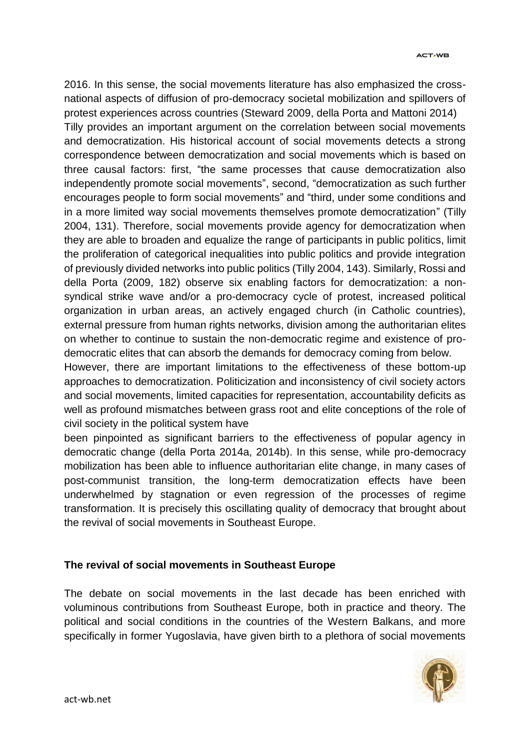2016. In this sense, the social movements literature has also emphasized the crossnational aspects of diffusion of pro-democracy societal mobilization and spillovers of protest experiences across countries (Steward 2009, della Porta and Mattoni 2014) Tilly provides an important argument on the correlation between social movements and democratization. His historical account of social movements detects a strong correspondence between democratization and social movements which is based on three causal factors: first, "the same processes that cause democratization also independently promote social movements", second, "democratization as such further encourages people to form social movements" and "third, under some conditions and in a more limited way social movements themselves promote democratization" (Tilly 2004, 131). Therefore, social movements provide agency for democratization when they are able to broaden and equalize the range of participants in public politics, limit the proliferation of categorical inequalities into public politics and provide integration of previously divided networks into public politics (Tilly 2004, 143). Similarly, Rossi and della Porta (2009, 182) observe six enabling factors for democratization: a nonsyndical strike wave and/or a pro-democracy cycle of protest, increased political organization in urban areas, an actively engaged church (in Catholic countries), external pressure from human rights networks, division among the authoritarian elites on whether to continue to sustain the non-democratic regime and existence of prodemocratic elites that can absorb the demands for democracy coming from below.

However, there are important limitations to the effectiveness of these bottom-up approaches to democratization. Politicization and inconsistency of civil society actors and social movements, limited capacities for representation, accountability deficits as well as profound mismatches between grass root and elite conceptions of the role of civil society in the political system have

been pinpointed as significant barriers to the effectiveness of popular agency in democratic change (della Porta 2014a, 2014b). In this sense, while pro-democracy mobilization has been able to influence authoritarian elite change, in many cases of post-communist transition, the long-term democratization effects have been underwhelmed by stagnation or even regression of the processes of regime transformation. It is precisely this oscillating quality of democracy that brought about the revival of social movements in Southeast Europe.

### **The revival of social movements in Southeast Europe**

The debate on social movements in the last decade has been enriched with voluminous contributions from Southeast Europe, both in practice and theory. The political and social conditions in the countries of the Western Balkans, and more specifically in former Yugoslavia, have given birth to a plethora of social movements

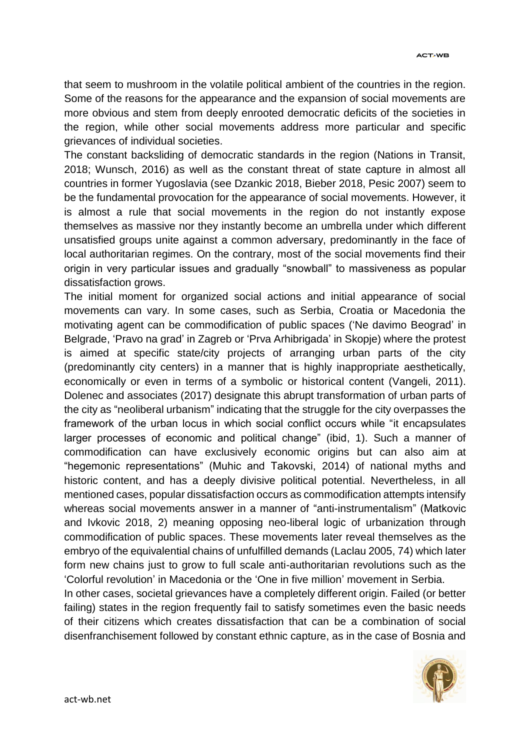that seem to mushroom in the volatile political ambient of the countries in the region. Some of the reasons for the appearance and the expansion of social movements are more obvious and stem from deeply enrooted democratic deficits of the societies in the region, while other social movements address more particular and specific grievances of individual societies.

The constant backsliding of democratic standards in the region (Nations in Transit, 2018; Wunsch, 2016) as well as the constant threat of state capture in almost all countries in former Yugoslavia (see Dzankic 2018, Bieber 2018, Pesic 2007) seem to be the fundamental provocation for the appearance of social movements. However, it is almost a rule that social movements in the region do not instantly expose themselves as massive nor they instantly become an umbrella under which different unsatisfied groups unite against a common adversary, predominantly in the face of local authoritarian regimes. On the contrary, most of the social movements find their origin in very particular issues and gradually "snowball" to massiveness as popular dissatisfaction grows.

The initial moment for organized social actions and initial appearance of social movements can vary. In some cases, such as Serbia, Croatia or Macedonia the motivating agent can be commodification of public spaces ('Ne davimo Beograd' in Belgrade, 'Pravo na grad' in Zagreb or 'Prva Arhibrigada' in Skopje) where the protest is aimed at specific state/city projects of arranging urban parts of the city (predominantly city centers) in a manner that is highly inappropriate aesthetically, economically or even in terms of a symbolic or historical content (Vangeli, 2011). Dolenec and associates (2017) designate this abrupt transformation of urban parts of the city as "neoliberal urbanism" indicating that the struggle for the city overpasses the framework of the urban locus in which social conflict occurs while "it encapsulates larger processes of economic and political change" (ibid, 1). Such a manner of commodification can have exclusively economic origins but can also aim at "hegemonic representations" (Muhic and Takovski, 2014) of national myths and historic content, and has a deeply divisive political potential. Nevertheless, in all mentioned cases, popular dissatisfaction occurs as commodification attempts intensify whereas social movements answer in a manner of "anti-instrumentalism" (Matkovic and Ivkovic 2018, 2) meaning opposing neo-liberal logic of urbanization through commodification of public spaces. These movements later reveal themselves as the embryo of the equivalential chains of unfulfilled demands (Laclau 2005, 74) which later form new chains just to grow to full scale anti-authoritarian revolutions such as the 'Colorful revolution' in Macedonia or the 'One in five million' movement in Serbia.

In other cases, societal grievances have a completely different origin. Failed (or better failing) states in the region frequently fail to satisfy sometimes even the basic needs of their citizens which creates dissatisfaction that can be a combination of social disenfranchisement followed by constant ethnic capture, as in the case of Bosnia and

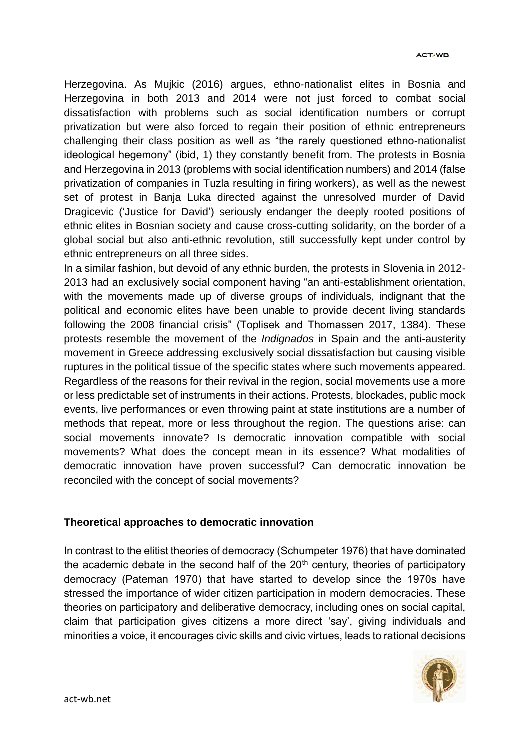Herzegovina. As Mujkic (2016) argues, ethno-nationalist elites in Bosnia and Herzegovina in both 2013 and 2014 were not just forced to combat social dissatisfaction with problems such as social identification numbers or corrupt privatization but were also forced to regain their position of ethnic entrepreneurs challenging their class position as well as "the rarely questioned ethno-nationalist ideological hegemony" (ibid, 1) they constantly benefit from. The protests in Bosnia and Herzegovina in 2013 (problems with social identification numbers) and 2014 (false privatization of companies in Tuzla resulting in firing workers), as well as the newest set of protest in Banja Luka directed against the unresolved murder of David Dragicevic ('Justice for David') seriously endanger the deeply rooted positions of ethnic elites in Bosnian society and cause cross-cutting solidarity, on the border of a global social but also anti-ethnic revolution, still successfully kept under control by ethnic entrepreneurs on all three sides.

In a similar fashion, but devoid of any ethnic burden, the protests in Slovenia in 2012- 2013 had an exclusively social component having "an anti-establishment orientation, with the movements made up of diverse groups of individuals, indignant that the political and economic elites have been unable to provide decent living standards following the 2008 financial crisis" (Toplisek and Thomassen 2017, 1384). These protests resemble the movement of the *Indignados* in Spain and the anti-austerity movement in Greece addressing exclusively social dissatisfaction but causing visible ruptures in the political tissue of the specific states where such movements appeared. Regardless of the reasons for their revival in the region, social movements use a more or less predictable set of instruments in their actions. Protests, blockades, public mock events, live performances or even throwing paint at state institutions are a number of methods that repeat, more or less throughout the region. The questions arise: can social movements innovate? Is democratic innovation compatible with social movements? What does the concept mean in its essence? What modalities of democratic innovation have proven successful? Can democratic innovation be reconciled with the concept of social movements?

#### **Theoretical approaches to democratic innovation**

In contrast to the elitist theories of democracy (Schumpeter 1976) that have dominated the academic debate in the second half of the  $20<sup>th</sup>$  century, theories of participatory democracy (Pateman 1970) that have started to develop since the 1970s have stressed the importance of wider citizen participation in modern democracies. These theories on participatory and deliberative democracy, including ones on social capital, claim that participation gives citizens a more direct 'say', giving individuals and minorities a voice, it encourages civic skills and civic virtues, leads to rational decisions

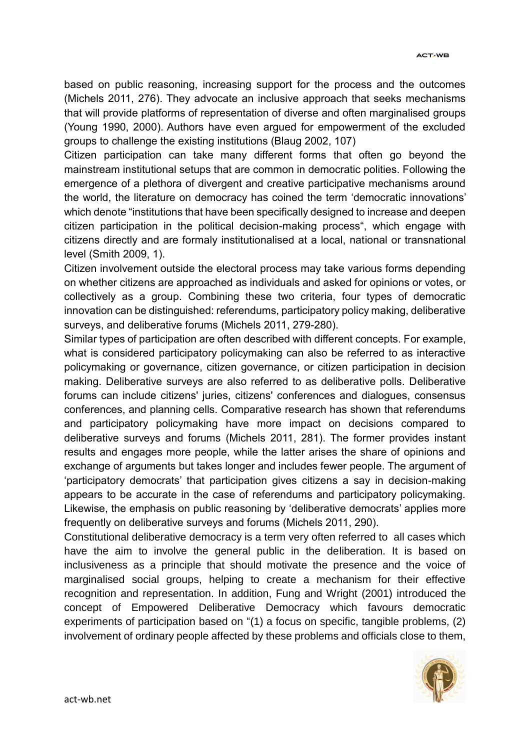based on public reasoning, increasing support for the process and the outcomes (Michels 2011, 276). They advocate an inclusive approach that seeks mechanisms that will provide platforms of representation of diverse and often marginalised groups (Young 1990, 2000). Authors have even argued for empowerment of the excluded groups to challenge the existing institutions (Blaug 2002, 107)

Citizen participation can take many different forms that often go beyond the mainstream institutional setups that are common in democratic polities. Following the emergence of a plethora of divergent and creative participative mechanisms around the world, the literature on democracy has coined the term 'democratic innovations' which denote "institutions that have been specifically designed to increase and deepen citizen participation in the political decision-making process", which engage with citizens directly and are formaly institutionalised at a local, national or transnational level (Smith 2009, 1).

Citizen involvement outside the electoral process may take various forms depending on whether citizens are approached as individuals and asked for opinions or votes, or collectively as a group. Combining these two criteria, four types of democratic innovation can be distinguished: referendums, participatory policy making, deliberative surveys, and deliberative forums (Michels 2011, 279-280).

Similar types of participation are often described with different concepts. For example, what is considered participatory policymaking can also be referred to as interactive policymaking or governance, citizen governance, or citizen participation in decision making. Deliberative surveys are also referred to as deliberative polls. Deliberative forums can include citizens' juries, citizens' conferences and dialogues, consensus conferences, and planning cells. Comparative research has shown that referendums and participatory policymaking have more impact on decisions compared to deliberative surveys and forums (Michels 2011, 281). The former provides instant results and engages more people, while the latter arises the share of opinions and exchange of arguments but takes longer and includes fewer people. The argument of 'participatory democrats' that participation gives citizens a say in decision-making appears to be accurate in the case of referendums and participatory policymaking. Likewise, the emphasis on public reasoning by 'deliberative democrats' applies more frequently on deliberative surveys and forums (Michels 2011, 290).

Constitutional deliberative democracy is a term very often referred to all cases which have the aim to involve the general public in the deliberation. It is based on inclusiveness as a principle that should motivate the presence and the voice of marginalised social groups, helping to create a mechanism for their effective recognition and representation. In addition, Fung and Wright (2001) introduced the concept of Empowered Deliberative Democracy which favours democratic experiments of participation based on "(1) a focus on specific, tangible problems, (2) involvement of ordinary people affected by these problems and officials close to them,

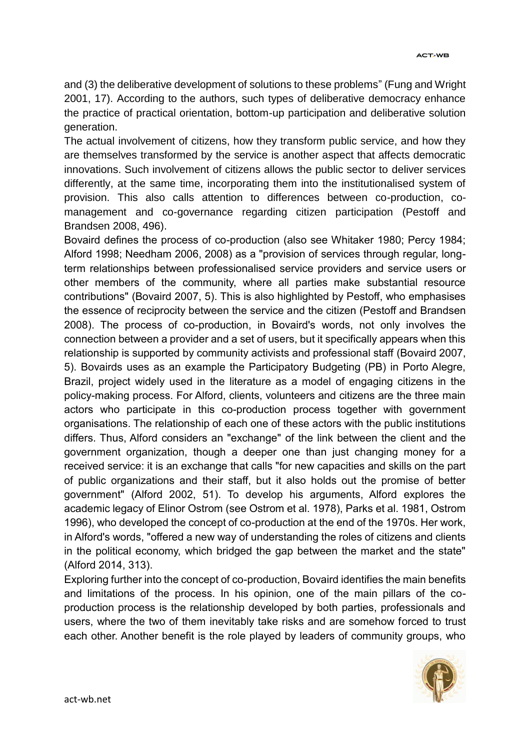and (3) the deliberative development of solutions to these problems" (Fung and Wright 2001, 17). According to the authors, such types of deliberative democracy enhance the practice of practical orientation, bottom-up participation and deliberative solution generation.

The actual involvement of citizens, how they transform public service, and how they are themselves transformed by the service is another aspect that affects democratic innovations. Such involvement of citizens allows the public sector to deliver services differently, at the same time, incorporating them into the institutionalised system of provision. This also calls attention to differences between co-production, comanagement and co-governance regarding citizen participation (Pestoff and Brandsen 2008, 496).

Bovaird defines the process of co-production (also see Whitaker 1980; Percy 1984; Alford 1998; Needham 2006, 2008) as a "provision of services through regular, longterm relationships between professionalised service providers and service users or other members of the community, where all parties make substantial resource contributions" (Bovaird 2007, 5). This is also highlighted by Pestoff, who emphasises the essence of reciprocity between the service and the citizen (Pestoff and Brandsen 2008). The process of co-production, in Bovaird's words, not only involves the connection between a provider and a set of users, but it specifically appears when this relationship is supported by community activists and professional staff (Bovaird 2007, 5). Bovairds uses as an example the Participatory Budgeting (PB) in Porto Alegre, Brazil, project widely used in the literature as a model of engaging citizens in the policy-making process. For Alford, clients, volunteers and citizens are the three main actors who participate in this co-production process together with government organisations. The relationship of each one of these actors with the public institutions differs. Thus, Alford considers an "exchange" of the link between the client and the government organization, though a deeper one than just changing money for a received service: it is an exchange that calls "for new capacities and skills on the part of public organizations and their staff, but it also holds out the promise of better government" (Alford 2002, 51). To develop his arguments, Alford explores the academic legacy of Elinor Ostrom (see Ostrom et al. 1978), Parks et al. 1981, Ostrom 1996), who developed the concept of co-production at the end of the 1970s. Her work, in Alford's words, "offered a new way of understanding the roles of citizens and clients in the political economy, which bridged the gap between the market and the state" (Alford 2014, 313).

Exploring further into the concept of co-production, Bovaird identifies the main benefits and limitations of the process. In his opinion, one of the main pillars of the coproduction process is the relationship developed by both parties, professionals and users, where the two of them inevitably take risks and are somehow forced to trust each other. Another benefit is the role played by leaders of community groups, who

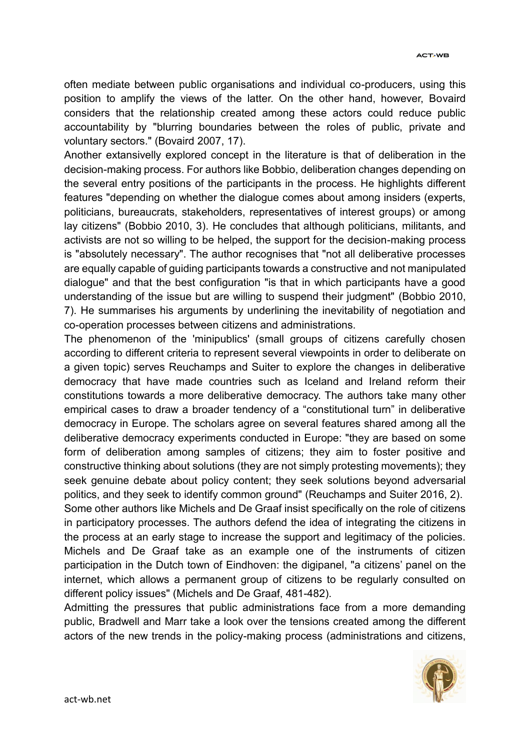often mediate between public organisations and individual co-producers, using this position to amplify the views of the latter. On the other hand, however, Bovaird considers that the relationship created among these actors could reduce public accountability by "blurring boundaries between the roles of public, private and voluntary sectors." (Bovaird 2007, 17).

Another extansivelly explored concept in the literature is that of deliberation in the decision-making process. For authors like Bobbio, deliberation changes depending on the several entry positions of the participants in the process. He highlights different features "depending on whether the dialogue comes about among insiders (experts, politicians, bureaucrats, stakeholders, representatives of interest groups) or among lay citizens" (Bobbio 2010, 3). He concludes that although politicians, militants, and activists are not so willing to be helped, the support for the decision-making process is "absolutely necessary". The author recognises that "not all deliberative processes are equally capable of guiding participants towards a constructive and not manipulated dialogue" and that the best configuration "is that in which participants have a good understanding of the issue but are willing to suspend their judgment" (Bobbio 2010, 7). He summarises his arguments by underlining the inevitability of negotiation and co-operation processes between citizens and administrations.

The phenomenon of the 'minipublics' (small groups of citizens carefully chosen according to different criteria to represent several viewpoints in order to deliberate on a given topic) serves Reuchamps and Suiter to explore the changes in deliberative democracy that have made countries such as Iceland and Ireland reform their constitutions towards a more deliberative democracy. The authors take many other empirical cases to draw a broader tendency of a "constitutional turn" in deliberative democracy in Europe. The scholars agree on several features shared among all the deliberative democracy experiments conducted in Europe: "they are based on some form of deliberation among samples of citizens; they aim to foster positive and constructive thinking about solutions (they are not simply protesting movements); they seek genuine debate about policy content; they seek solutions beyond adversarial politics, and they seek to identify common ground" (Reuchamps and Suiter 2016, 2).

Some other authors like Michels and De Graaf insist specifically on the role of citizens in participatory processes. The authors defend the idea of integrating the citizens in the process at an early stage to increase the support and legitimacy of the policies. Michels and De Graaf take as an example one of the instruments of citizen participation in the Dutch town of Eindhoven: the digipanel, "a citizens' panel on the internet, which allows a permanent group of citizens to be regularly consulted on different policy issues" (Michels and De Graaf, 481-482).

Admitting the pressures that public administrations face from a more demanding public, Bradwell and Marr take a look over the tensions created among the different actors of the new trends in the policy-making process (administrations and citizens,

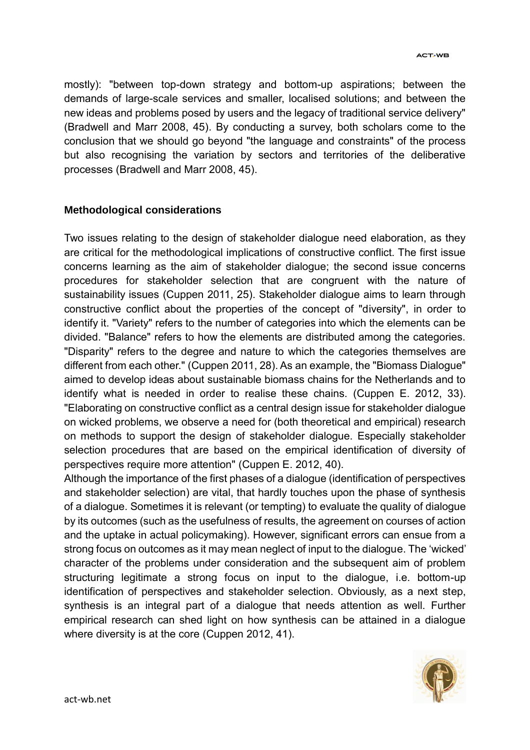mostly): "between top-down strategy and bottom-up aspirations; between the demands of large-scale services and smaller, localised solutions; and between the new ideas and problems posed by users and the legacy of traditional service delivery" (Bradwell and Marr 2008, 45). By conducting a survey, both scholars come to the conclusion that we should go beyond "the language and constraints" of the process but also recognising the variation by sectors and territories of the deliberative processes (Bradwell and Marr 2008, 45).

#### **Methodological considerations**

Two issues relating to the design of stakeholder dialogue need elaboration, as they are critical for the methodological implications of constructive conflict. The first issue concerns learning as the aim of stakeholder dialogue; the second issue concerns procedures for stakeholder selection that are congruent with the nature of sustainability issues (Cuppen 2011, 25). Stakeholder dialogue aims to learn through constructive conflict about the properties of the concept of "diversity", in order to identify it. "Variety" refers to the number of categories into which the elements can be divided. "Balance" refers to how the elements are distributed among the categories. "Disparity" refers to the degree and nature to which the categories themselves are different from each other." (Cuppen 2011, 28). As an example, the "Biomass Dialogue" aimed to develop ideas about sustainable biomass chains for the Netherlands and to identify what is needed in order to realise these chains. (Cuppen E. 2012, 33). "Elaborating on constructive conflict as a central design issue for stakeholder dialogue on wicked problems, we observe a need for (both theoretical and empirical) research on methods to support the design of stakeholder dialogue. Especially stakeholder selection procedures that are based on the empirical identification of diversity of perspectives require more attention" (Cuppen E. 2012, 40).

Although the importance of the first phases of a dialogue (identification of perspectives and stakeholder selection) are vital, that hardly touches upon the phase of synthesis of a dialogue. Sometimes it is relevant (or tempting) to evaluate the quality of dialogue by its outcomes (such as the usefulness of results, the agreement on courses of action and the uptake in actual policymaking). However, significant errors can ensue from a strong focus on outcomes as it may mean neglect of input to the dialogue. The 'wicked' character of the problems under consideration and the subsequent aim of problem structuring legitimate a strong focus on input to the dialogue, i.e. bottom-up identification of perspectives and stakeholder selection. Obviously, as a next step, synthesis is an integral part of a dialogue that needs attention as well. Further empirical research can shed light on how synthesis can be attained in a dialogue where diversity is at the core (Cuppen 2012, 41).

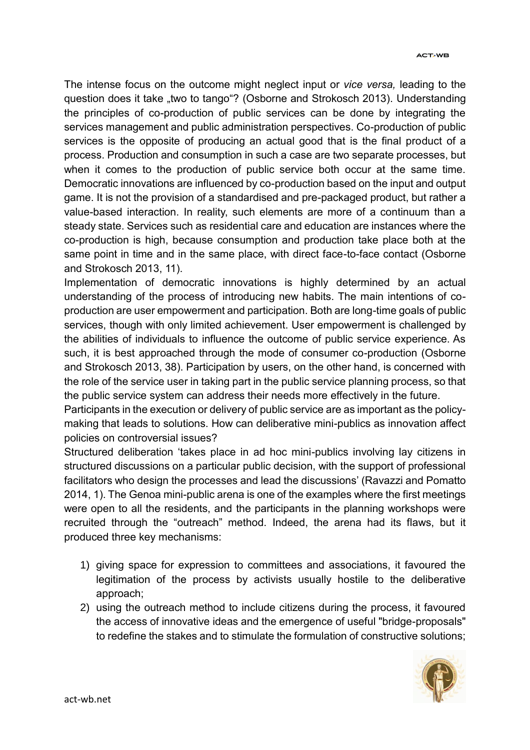#### **ACT.WB**

The intense focus on the outcome might neglect input or *vice versa,* leading to the question does it take "two to tango"? (Osborne and Strokosch 2013). Understanding the principles of co-production of public services can be done by integrating the services management and public administration perspectives. Co-production of public services is the opposite of producing an actual good that is the final product of a process. Production and consumption in such a case are two separate processes, but when it comes to the production of public service both occur at the same time. Democratic innovations are influenced by co-production based on the input and output game. It is not the provision of a standardised and pre-packaged product, but rather a value-based interaction. In reality, such elements are more of a continuum than a steady state. Services such as residential care and education are instances where the co-production is high, because consumption and production take place both at the same point in time and in the same place, with direct face-to-face contact (Osborne and Strokosch 2013, 11).

Implementation of democratic innovations is highly determined by an actual understanding of the process of introducing new habits. The main intentions of coproduction are user empowerment and participation. Both are long-time goals of public services, though with only limited achievement. User empowerment is challenged by the abilities of individuals to influence the outcome of public service experience. As such, it is best approached through the mode of consumer co-production (Osborne and Strokosch 2013, 38). Participation by users, on the other hand, is concerned with the role of the service user in taking part in the public service planning process, so that the public service system can address their needs more effectively in the future.

Participants in the execution or delivery of public service are as important as the policymaking that leads to solutions. How can deliberative mini-publics as innovation affect policies on controversial issues?

Structured deliberation 'takes place in ad hoc mini-publics involving lay citizens in structured discussions on a particular public decision, with the support of professional facilitators who design the processes and lead the discussions' (Ravazzi and Pomatto 2014, 1). The Genoa mini-public arena is one of the examples where the first meetings were open to all the residents, and the participants in the planning workshops were recruited through the "outreach" method. Indeed, the arena had its flaws, but it produced three key mechanisms:

- 1) giving space for expression to committees and associations, it favoured the legitimation of the process by activists usually hostile to the deliberative approach;
- 2) using the outreach method to include citizens during the process, it favoured the access of innovative ideas and the emergence of useful "bridge-proposals" to redefine the stakes and to stimulate the formulation of constructive solutions;

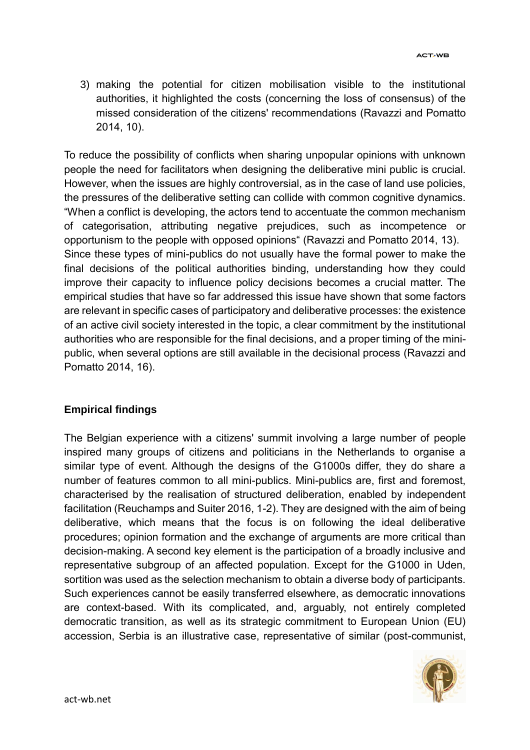3) making the potential for citizen mobilisation visible to the institutional authorities, it highlighted the costs (concerning the loss of consensus) of the missed consideration of the citizens' recommendations (Ravazzi and Pomatto 2014, 10).

To reduce the possibility of conflicts when sharing unpopular opinions with unknown people the need for facilitators when designing the deliberative mini public is crucial. However, when the issues are highly controversial, as in the case of land use policies, the pressures of the deliberative setting can collide with common cognitive dynamics. "When a conflict is developing, the actors tend to accentuate the common mechanism of categorisation, attributing negative prejudices, such as incompetence or opportunism to the people with opposed opinions" (Ravazzi and Pomatto 2014, 13). Since these types of mini-publics do not usually have the formal power to make the final decisions of the political authorities binding, understanding how they could improve their capacity to influence policy decisions becomes a crucial matter. The empirical studies that have so far addressed this issue have shown that some factors are relevant in specific cases of participatory and deliberative processes: the existence of an active civil society interested in the topic, a clear commitment by the institutional authorities who are responsible for the final decisions, and a proper timing of the minipublic, when several options are still available in the decisional process (Ravazzi and Pomatto 2014, 16).

### **Empirical findings**

The Belgian experience with a citizens' summit involving a large number of people inspired many groups of citizens and politicians in the Netherlands to organise a similar type of event. Although the designs of the G1000s differ, they do share a number of features common to all mini-publics. Mini-publics are, first and foremost, characterised by the realisation of structured deliberation, enabled by independent facilitation (Reuchamps and Suiter 2016, 1-2). They are designed with the aim of being deliberative, which means that the focus is on following the ideal deliberative procedures; opinion formation and the exchange of arguments are more critical than decision-making. A second key element is the participation of a broadly inclusive and representative subgroup of an affected population. Except for the G1000 in Uden, sortition was used as the selection mechanism to obtain a diverse body of participants. Such experiences cannot be easily transferred elsewhere, as democratic innovations are context-based. With its complicated, and, arguably, not entirely completed democratic transition, as well as its strategic commitment to European Union (EU) accession, Serbia is an illustrative case, representative of similar (post-communist,

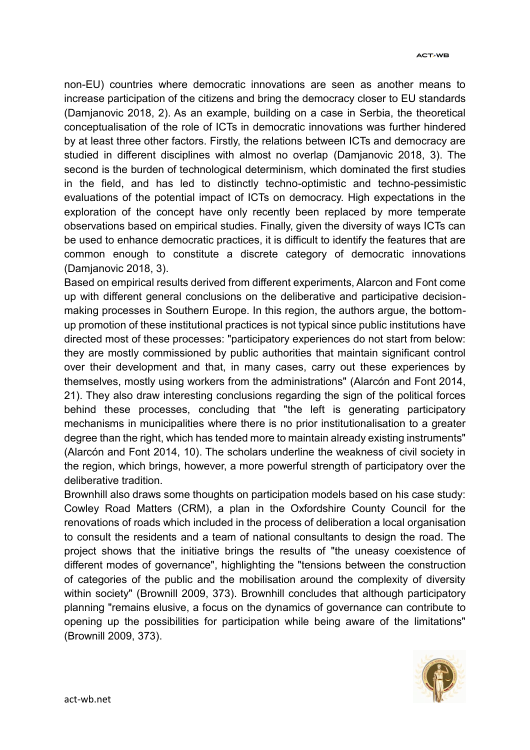non-EU) countries where democratic innovations are seen as another means to increase participation of the citizens and bring the democracy closer to EU standards (Damjanovic 2018, 2). As an example, building on a case in Serbia, the theoretical conceptualisation of the role of ICTs in democratic innovations was further hindered by at least three other factors. Firstly, the relations between ICTs and democracy are studied in different disciplines with almost no overlap (Damjanovic 2018, 3). The second is the burden of technological determinism, which dominated the first studies in the field, and has led to distinctly techno-optimistic and techno-pessimistic evaluations of the potential impact of ICTs on democracy. High expectations in the exploration of the concept have only recently been replaced by more temperate observations based on empirical studies. Finally, given the diversity of ways ICTs can be used to enhance democratic practices, it is difficult to identify the features that are common enough to constitute a discrete category of democratic innovations (Damjanovic 2018, 3).

Based on empirical results derived from different experiments, Alarcon and Font come up with different general conclusions on the deliberative and participative decisionmaking processes in Southern Europe. In this region, the authors argue, the bottomup promotion of these institutional practices is not typical since public institutions have directed most of these processes: "participatory experiences do not start from below: they are mostly commissioned by public authorities that maintain significant control over their development and that, in many cases, carry out these experiences by themselves, mostly using workers from the administrations" (Alarcón and Font 2014, 21). They also draw interesting conclusions regarding the sign of the political forces behind these processes, concluding that "the left is generating participatory mechanisms in municipalities where there is no prior institutionalisation to a greater degree than the right, which has tended more to maintain already existing instruments" (Alarcón and Font 2014, 10). The scholars underline the weakness of civil society in the region, which brings, however, a more powerful strength of participatory over the deliberative tradition.

Brownhill also draws some thoughts on participation models based on his case study: Cowley Road Matters (CRM), a plan in the Oxfordshire County Council for the renovations of roads which included in the process of deliberation a local organisation to consult the residents and a team of national consultants to design the road. The project shows that the initiative brings the results of "the uneasy coexistence of different modes of governance", highlighting the "tensions between the construction of categories of the public and the mobilisation around the complexity of diversity within society" (Brownill 2009, 373). Brownhill concludes that although participatory planning "remains elusive, a focus on the dynamics of governance can contribute to opening up the possibilities for participation while being aware of the limitations" (Brownill 2009, 373).

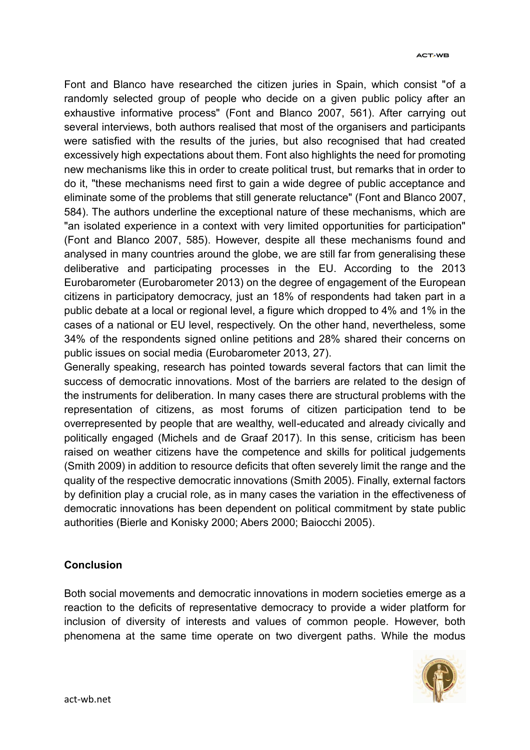Font and Blanco have researched the citizen juries in Spain, which consist "of a randomly selected group of people who decide on a given public policy after an exhaustive informative process" (Font and Blanco 2007, 561). After carrying out several interviews, both authors realised that most of the organisers and participants were satisfied with the results of the juries, but also recognised that had created excessively high expectations about them. Font also highlights the need for promoting new mechanisms like this in order to create political trust, but remarks that in order to do it, "these mechanisms need first to gain a wide degree of public acceptance and eliminate some of the problems that still generate reluctance" (Font and Blanco 2007, 584). The authors underline the exceptional nature of these mechanisms, which are "an isolated experience in a context with very limited opportunities for participation" (Font and Blanco 2007, 585). However, despite all these mechanisms found and analysed in many countries around the globe, we are still far from generalising these deliberative and participating processes in the EU. According to the 2013 Eurobarometer (Eurobarometer 2013) on the degree of engagement of the European citizens in participatory democracy, just an 18% of respondents had taken part in a public debate at a local or regional level, a figure which dropped to 4% and 1% in the cases of a national or EU level, respectively. On the other hand, nevertheless, some 34% of the respondents signed online petitions and 28% shared their concerns on public issues on social media (Eurobarometer 2013, 27).

Generally speaking, research has pointed towards several factors that can limit the success of democratic innovations. Most of the barriers are related to the design of the instruments for deliberation. In many cases there are structural problems with the representation of citizens, as most forums of citizen participation tend to be overrepresented by people that are wealthy, well-educated and already civically and politically engaged (Michels and de Graaf 2017). In this sense, criticism has been raised on weather citizens have the competence and skills for political judgements (Smith 2009) in addition to resource deficits that often severely limit the range and the quality of the respective democratic innovations (Smith 2005). Finally, external factors by definition play a crucial role, as in many cases the variation in the effectiveness of democratic innovations has been dependent on political commitment by state public authorities (Bierle and Konisky 2000; Abers 2000; Baiocchi 2005).

#### **Conclusion**

Both social movements and democratic innovations in modern societies emerge as a reaction to the deficits of representative democracy to provide a wider platform for inclusion of diversity of interests and values of common people. However, both phenomena at the same time operate on two divergent paths. While the modus

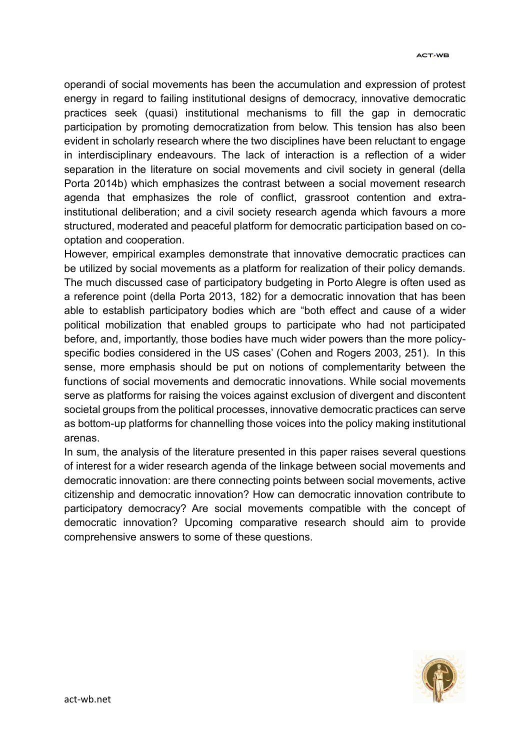operandi of social movements has been the accumulation and expression of protest energy in regard to failing institutional designs of democracy, innovative democratic practices seek (quasi) institutional mechanisms to fill the gap in democratic participation by promoting democratization from below. This tension has also been evident in scholarly research where the two disciplines have been reluctant to engage in interdisciplinary endeavours. The lack of interaction is a reflection of a wider separation in the literature on social movements and civil society in general (della Porta 2014b) which emphasizes the contrast between a social movement research agenda that emphasizes the role of conflict, grassroot contention and extrainstitutional deliberation; and a civil society research agenda which favours a more structured, moderated and peaceful platform for democratic participation based on cooptation and cooperation.

However, empirical examples demonstrate that innovative democratic practices can be utilized by social movements as a platform for realization of their policy demands. The much discussed case of participatory budgeting in Porto Alegre is often used as a reference point (della Porta 2013, 182) for a democratic innovation that has been able to establish participatory bodies which are "both effect and cause of a wider political mobilization that enabled groups to participate who had not participated before, and, importantly, those bodies have much wider powers than the more policyspecific bodies considered in the US cases' (Cohen and Rogers 2003, 251). In this sense, more emphasis should be put on notions of complementarity between the functions of social movements and democratic innovations. While social movements serve as platforms for raising the voices against exclusion of divergent and discontent societal groups from the political processes, innovative democratic practices can serve as bottom-up platforms for channelling those voices into the policy making institutional arenas.

In sum, the analysis of the literature presented in this paper raises several questions of interest for a wider research agenda of the linkage between social movements and democratic innovation: are there connecting points between social movements, active citizenship and democratic innovation? How can democratic innovation contribute to participatory democracy? Are social movements compatible with the concept of democratic innovation? Upcoming comparative research should aim to provide comprehensive answers to some of these questions.

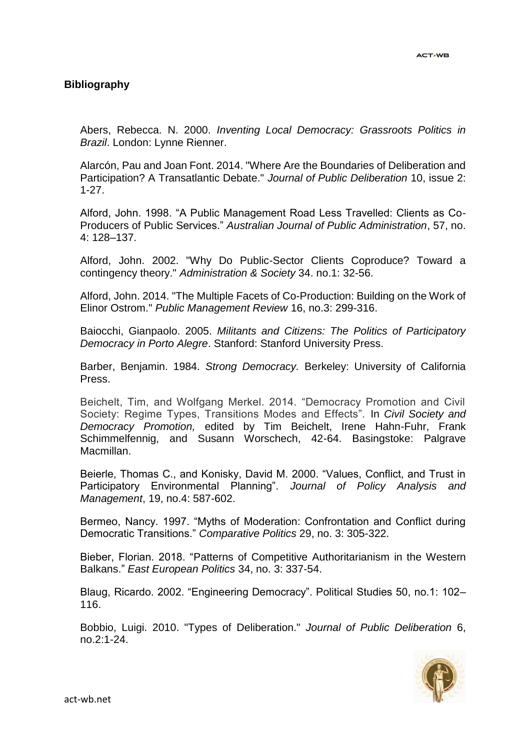#### **Bibliography**

Abers, Rebecca. N. 2000. *Inventing Local Democracy: Grassroots Politics in Brazil*. London: Lynne Rienner.

Alarcón, Pau and Joan Font. 2014. "Where Are the Boundaries of Deliberation and Participation? A Transatlantic Debate." *Journal of Public Deliberation* 10, issue 2: 1-27.

Alford, John. 1998. "A Public Management Road Less Travelled: Clients as Co-Producers of Public Services." *Australian Journal of Public Administration*, 57, no. 4: 128–137.

Alford, John. 2002. "Why Do Public-Sector Clients Coproduce? Toward a contingency theory." *Administration & Society* 34. no.1: 32-56.

Alford, John. 2014. "The Multiple Facets of Co-Production: Building on the Work of Elinor Ostrom." *Public Management Review* 16, no.3: 299-316.

Baiocchi, Gianpaolo. 2005. *Militants and Citizens: The Politics of Participatory Democracy in Porto Alegre*. Stanford: Stanford University Press.

Barber, Benjamin. 1984. *Strong Democracy.* Berkeley: University of California Press.

Beichelt, Tim, and Wolfgang Merkel. 2014. "Democracy Promotion and Civil Society: Regime Types, Transitions Modes and Effects". In *Civil Society and Democracy Promotion,* edited by Tim Beichelt, Irene Hahn-Fuhr, Frank Schimmelfennig, and Susann Worschech, 42-64. Basingstoke: Palgrave Macmillan.

Beierle, Thomas C., and Konisky, David M. 2000. "Values, Conflict, and Trust in Participatory Environmental Planning". *Journal of Policy Analysis and Management*, 19, no.4: 587-602.

Bermeo, Nancy. 1997. "Myths of Moderation: Confrontation and Conflict during Democratic Transitions." *Comparative Politics* 29, no. 3: 305-322.

Bieber, Florian. 2018. "Patterns of Competitive Authoritarianism in the Western Balkans." *East European Politics* 34, no. 3: 337-54.

Blaug, Ricardo. 2002. "Engineering Democracy". Political Studies 50, no.1: 102– 116.

Bobbio, Luigi. 2010. "Types of Deliberation." *Journal of Public Deliberation* 6, no.2:1-24.

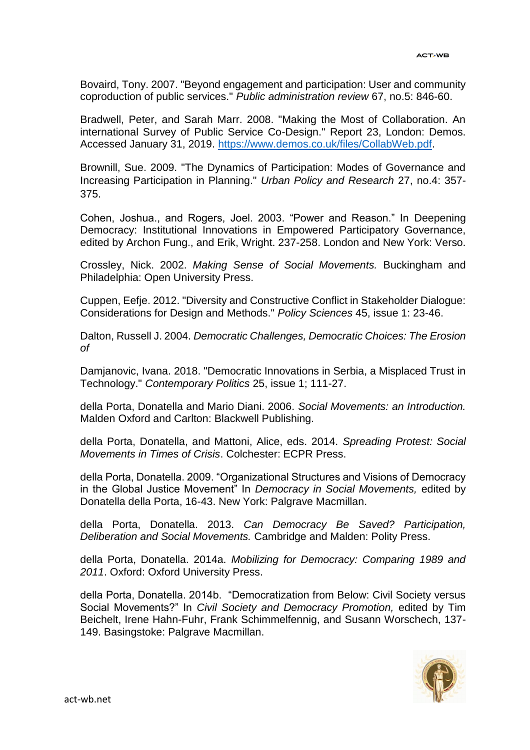Bovaird, Tony. 2007. "Beyond engagement and participation: User and community coproduction of public services." *Public administration review* 67, no.5: 846-60.

Bradwell, Peter, and Sarah Marr. 2008. "Making the Most of Collaboration. An international Survey of Public Service Co-Design." Report 23, London: Demos. Accessed January 31, 2019. [https://www.demos.co.uk/files/CollabWeb.pdf.](https://www.demos.co.uk/files/CollabWeb.pdf)

Brownill, Sue. 2009. "The Dynamics of Participation: Modes of Governance and Increasing Participation in Planning." *Urban Policy and Research* 27, no.4: 357- 375.

Cohen, Joshua., and Rogers, Joel. 2003. "Power and Reason." In Deepening Democracy: Institutional Innovations in Empowered Participatory Governance, edited by Archon Fung., and Erik, Wright. 237-258. London and New York: Verso.

Crossley, Nick. 2002. *Making Sense of Social Movements.* Buckingham and Philadelphia: Open University Press.

Cuppen, Eefje. 2012. "Diversity and Constructive Conflict in Stakeholder Dialogue: Considerations for Design and Methods." *Policy Sciences* 45, issue 1: 23-46.

Dalton, Russell J. 2004. *Democratic Challenges, Democratic Choices: The Erosion of*

Damjanovic, Ivana. 2018. "Democratic Innovations in Serbia, a Misplaced Trust in Technology." *Contemporary Politics* 25, issue 1; 111-27.

della Porta, Donatella and Mario Diani. 2006. *Social Movements: an Introduction.* Malden Oxford and Carlton: Blackwell Publishing.

della Porta, Donatella, and Mattoni, Alice, eds. 2014. *Spreading Protest: Social Movements in Times of Crisis*. Colchester: ECPR Press.

della Porta, Donatella. 2009. "Organizational Structures and Visions of Democracy in the Global Justice Movement" In *Democracy in Social Movements,* edited by Donatella della Porta, 16-43. New York: Palgrave Macmillan.

della Porta, Donatella. 2013. *Can Democracy Be Saved? Participation, Deliberation and Social Movements.* Cambridge and Malden: Polity Press.

della Porta, Donatella. 2014a. *Mobilizing for Democracy: Comparing 1989 and 2011*. Oxford: Oxford University Press.

della Porta, Donatella. 2014b. "Democratization from Below: Civil Society versus Social Movements?" In *Civil Society and Democracy Promotion,* edited by Tim Beichelt, Irene Hahn-Fuhr, Frank Schimmelfennig, and Susann Worschech, 137- 149. Basingstoke: Palgrave Macmillan.

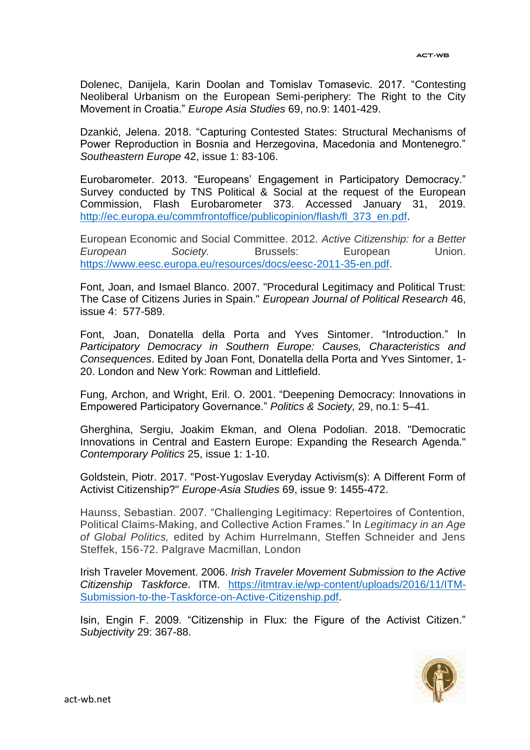Dolenec, Danijela, Karin Doolan and Tomislav Tomasevic. 2017. "Contesting Neoliberal Urbanism on the European Semi-periphery: The Right to the City Movement in Croatia." *Europe Asia Studies* 69, no.9: 1401-429.

Dzankić, Jelena. 2018. "Capturing Contested States: Structural Mechanisms of Power Reproduction in Bosnia and Herzegovina, Macedonia and Montenegro." *Southeastern Europe* 42, issue 1: 83-106.

Eurobarometer. 2013. "Europeans' Engagement in Participatory Democracy." Survey conducted by TNS Political & Social at the request of the European Commission, Flash Eurobarometer 373. Accessed January 31, 2019. [http://ec.europa.eu/commfrontoffice/publicopinion/flash/fl\\_373\\_en.pdf.](http://ec.europa.eu/commfrontoffice/publicopinion/flash/fl_373_en.pdf)

European Economic and Social Committee. 2012. *Active Citizenship: for a Better European Society.* Brussels: European Union. [https://www.eesc.europa.eu/resources/docs/eesc-2011-35-en.pdf.](https://www.eesc.europa.eu/resources/docs/eesc-2011-35-en.pdf)

Font, Joan, and Ismael Blanco. 2007. "Procedural Legitimacy and Political Trust: The Case of Citizens Juries in Spain." *European Journal of Political Research* 46, issue 4: 577-589.

Font, Joan, Donatella della Porta and Yves Sintomer. "Introduction." In *Participatory Democracy in Southern Europe: Causes, Characteristics and Consequences*. Edited by Joan Font, Donatella della Porta and Yves Sintomer, 1- 20. London and New York: Rowman and Littlefield.

Fung, Archon, and Wright, Eril. O. 2001. "Deepening Democracy: Innovations in Empowered Participatory Governance." *Politics & Society,* 29, no.1: 5–41.

Gherghina, Sergiu, Joakim Ekman, and Olena Podolian. 2018. "Democratic Innovations in Central and Eastern Europe: Expanding the Research Agenda." *Contemporary Politics* 25, issue 1: 1-10.

Goldstein, Piotr. 2017. "Post-Yugoslav Everyday Activism(s): A Different Form of Activist Citizenship?" *Europe-Asia Studies* 69, issue 9: 1455-472.

Haunss, Sebastian. 2007. "Challenging Legitimacy: Repertoires of Contention, Political Claims-Making, and Collective Action Frames." In *Legitimacy in an Age of Global Politics,* edited by Achim Hurrelmann, Steffen Schneider and Jens Steffek, 156-72. Palgrave Macmillan, London

Irish Traveler Movement. 2006. *Irish Traveler Movement Submission to the Active Citizenship Taskforce*. ITM. [https://itmtrav.ie/wp-content/uploads/2016/11/ITM-](https://itmtrav.ie/wp-content/uploads/2016/11/ITM-Submission-to-the-Taskforce-on-Active-Citizenship.pdf)[Submission-to-the-Taskforce-on-Active-Citizenship.pdf.](https://itmtrav.ie/wp-content/uploads/2016/11/ITM-Submission-to-the-Taskforce-on-Active-Citizenship.pdf)

Isin, Engin F. 2009. "Citizenship in Flux: the Figure of the Activist Citizen." *Subjectivity* 29: 367-88.

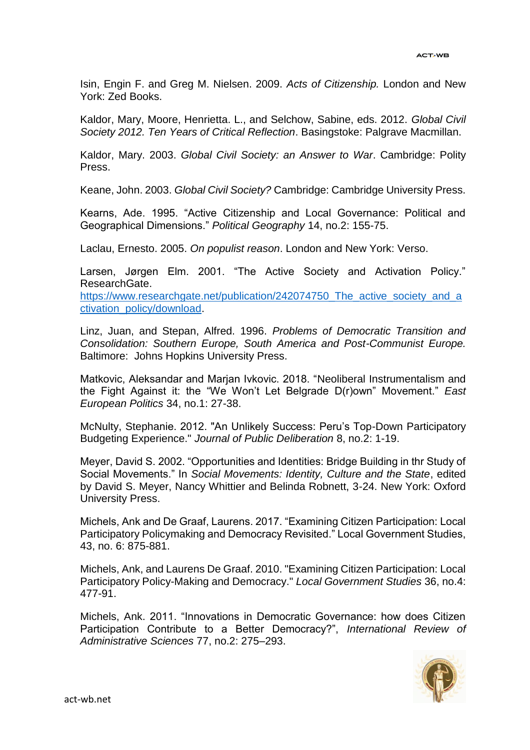Isin, Engin F. and Greg M. Nielsen. 2009. *Acts of Citizenship.* London and New York: Zed Books.

Kaldor, Mary, Moore, Henrietta. L., and Selchow, Sabine, eds. 2012. *Global Civil Society 2012. Ten Years of Critical Reflection*. Basingstoke: Palgrave Macmillan.

Kaldor, Mary. 2003. *Global Civil Society: an Answer to War*. Cambridge: Polity Press.

Keane, John. 2003. *Global Civil Society?* Cambridge: Cambridge University Press.

Kearns, Ade. 1995. "Active Citizenship and Local Governance: Political and Geographical Dimensions." *Political Geography* 14, no.2: 155-75.

Laclau, Ernesto. 2005. *On populist reason*. London and New York: Verso.

Larsen, Jørgen Elm. 2001. "The Active Society and Activation Policy." ResearchGate.

https://www.researchgate.net/publication/242074750 The active society and a [ctivation\\_policy/download.](https://www.researchgate.net/publication/242074750_The_active_society_and_activation_policy/download)

Linz, Juan, and Stepan, Alfred. 1996. *Problems of Democratic Transition and Consolidation: Southern Europe, South America and Post-Communist Europe.* Baltimore: Johns Hopkins University Press.

Matkovic, Aleksandar and Marjan Ivkovic. 2018. "Neoliberal Instrumentalism and the Fight Against it: the "We Won't Let Belgrade D(r)own" Movement." *East European Politics* 34, no.1: 27-38.

McNulty, Stephanie. 2012. "An Unlikely Success: Peru's Top-Down Participatory Budgeting Experience." *Journal of Public Deliberation* 8, no.2: 1-19.

Meyer, David S. 2002. "Opportunities and Identities: Bridge Building in thr Study of Social Movements." In *Social Movements: Identity, Culture and the State*, edited by David S. Meyer, Nancy Whittier and Belinda Robnett, 3-24. New York: Oxford University Press.

Michels, Ank and De Graaf, Laurens. 2017. "Examining Citizen Participation: Local Participatory Policymaking and Democracy Revisited." Local Government Studies, 43, no. 6: 875-881.

Michels, Ank, and Laurens De Graaf. 2010. "Examining Citizen Participation: Local Participatory Policy-Making and Democracy." *Local Government Studies* 36, no.4: 477-91.

Michels, Ank. 2011. "Innovations in Democratic Governance: how does Citizen Participation Contribute to a Better Democracy?", *International Review of Administrative Sciences* 77, no.2: 275–293.

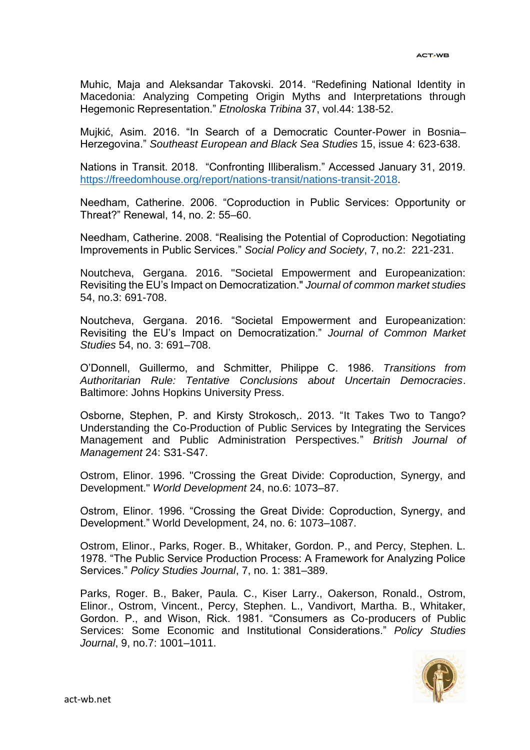Muhic, Maja and Aleksandar Takovski. 2014. "Redefining National Identity in Macedonia: Analyzing Competing Origin Myths and Interpretations through Hegemonic Representation." *Etnoloska Tribina* 37, vol.44: 138-52.

Mujkić, Asim. 2016. "In Search of a Democratic Counter-Power in Bosnia– Herzegovina." *Southeast European and Black Sea Studies* 15, issue 4: 623-638.

Nations in Transit. 2018. "Confronting Illiberalism." Accessed January 31, 2019. [https://freedomhouse.org/report/nations-transit/nations-transit-2018.](https://freedomhouse.org/report/nations-transit/nations-transit-2018)

Needham, Catherine. 2006. "Coproduction in Public Services: Opportunity or Threat?" Renewal, 14, no. 2: 55–60.

Needham, Catherine. 2008. "Realising the Potential of Coproduction: Negotiating Improvements in Public Services." *Social Policy and Society*, 7, no.2: 221-231.

Noutcheva, Gergana. 2016. "Societal Empowerment and Europeanization: Revisiting the EU's Impact on Democratization." *Journal of common market studies*  54, no.3: 691-708.

Noutcheva, Gergana. 2016. "Societal Empowerment and Europeanization: Revisiting the EU's Impact on Democratization." *Journal of Common Market Studies* 54, no. 3: 691–708.

O'Donnell, Guillermo, and Schmitter, Philippe C. 1986. *Transitions from Authoritarian Rule: Tentative Conclusions about Uncertain Democracies*. Baltimore: Johns Hopkins University Press.

Osborne, Stephen, P. and Kirsty Strokosch,. 2013. "It Takes Two to Tango? Understanding the Co-Production of Public Services by Integrating the Services Management and Public Administration Perspectives*.*" *British Journal of Management* 24: S31-S47.

Ostrom, Elinor. 1996. "Crossing the Great Divide: Coproduction, Synergy, and Development." *World Development* 24, no.6: 1073–87.

Ostrom, Elinor. 1996. "Crossing the Great Divide: Coproduction, Synergy, and Development." World Development, 24, no. 6: 1073–1087.

Ostrom, Elinor., Parks, Roger. B., Whitaker, Gordon. P., and Percy, Stephen. L. 1978. "The Public Service Production Process: A Framework for Analyzing Police Services." *Policy Studies Journal*, 7, no. 1: 381–389.

Parks, Roger. B., Baker, Paula. C., Kiser Larry., Oakerson, Ronald., Ostrom, Elinor., Ostrom, Vincent., Percy, Stephen. L., Vandivort, Martha. B., Whitaker, Gordon. P., and Wison, Rick. 1981. "Consumers as Co-producers of Public Services: Some Economic and Institutional Considerations." *Policy Studies Journal*, 9, no.7: 1001–1011.

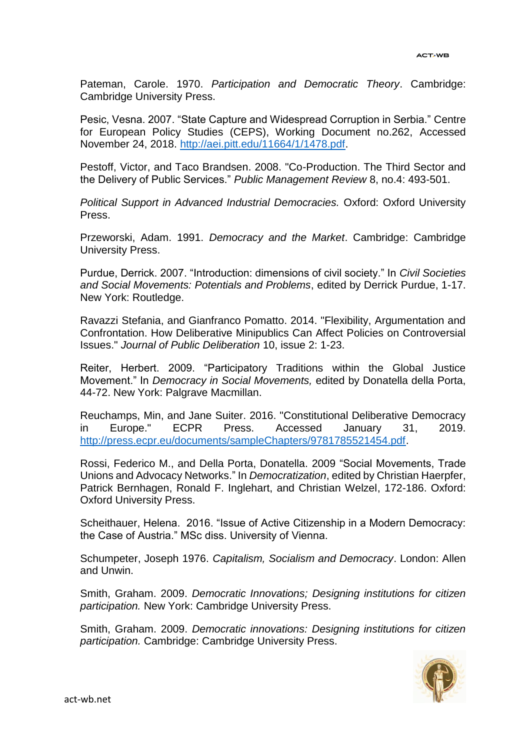Pateman, Carole. 1970. *Participation and Democratic Theory*. Cambridge: Cambridge University Press.

Pesic, Vesna. 2007. "State Capture and Widespread Corruption in Serbia." Centre for European Policy Studies (CEPS), Working Document no.262, Accessed November 24, 2018. [http://aei.pitt.edu/11664/1/1478.pdf.](http://aei.pitt.edu/11664/1/1478.pdf)

Pestoff, Victor, and Taco Brandsen. 2008. "Co-Production. The Third Sector and the Delivery of Public Services." *Public Management Review* 8, no.4: 493-501.

*Political Support in Advanced Industrial Democracies.* Oxford: Oxford University Press.

Przeworski, Adam. 1991. *Democracy and the Market*. Cambridge: Cambridge University Press.

Purdue, Derrick. 2007. "Introduction: dimensions of civil society." In *Civil Societies and Social Movements: Potentials and Problems*, edited by Derrick Purdue, 1-17. New York: Routledge.

Ravazzi Stefania, and Gianfranco Pomatto. 2014. "Flexibility, Argumentation and Confrontation. How Deliberative Minipublics Can Affect Policies on Controversial Issues." *Journal of Public Deliberation* 10, issue 2: 1-23.

Reiter, Herbert. 2009. "Participatory Traditions within the Global Justice Movement." In *Democracy in Social Movements,* edited by Donatella della Porta, 44-72. New York: Palgrave Macmillan.

Reuchamps, Min, and Jane Suiter. 2016. "Constitutional Deliberative Democracy in Europe." ECPR Press. Accessed January 31, 2019. [http://press.ecpr.eu/documents/sampleChapters/9781785521454.pdf.](http://press.ecpr.eu/documents/sampleChapters/9781785521454.pdf)

Rossi, Federico M., and Della Porta, Donatella. 2009 "Social Movements, Trade Unions and Advocacy Networks." In *Democratization*, edited by Christian Haerpfer, Patrick Bernhagen, Ronald F. Inglehart, and Christian Welzel, 172-186. Oxford: Oxford University Press.

Scheithauer, Helena. 2016. "Issue of Active Citizenship in a Modern Democracy: the Case of Austria." MSc diss. University of Vienna.

Schumpeter, Joseph 1976. *Capitalism, Socialism and Democracy*. London: Allen and Unwin.

Smith, Graham. 2009. *Democratic Innovations; Designing institutions for citizen participation.* New York: Cambridge University Press.

Smith, Graham. 2009. *Democratic innovations: Designing institutions for citizen participation.* Cambridge: Cambridge University Press.